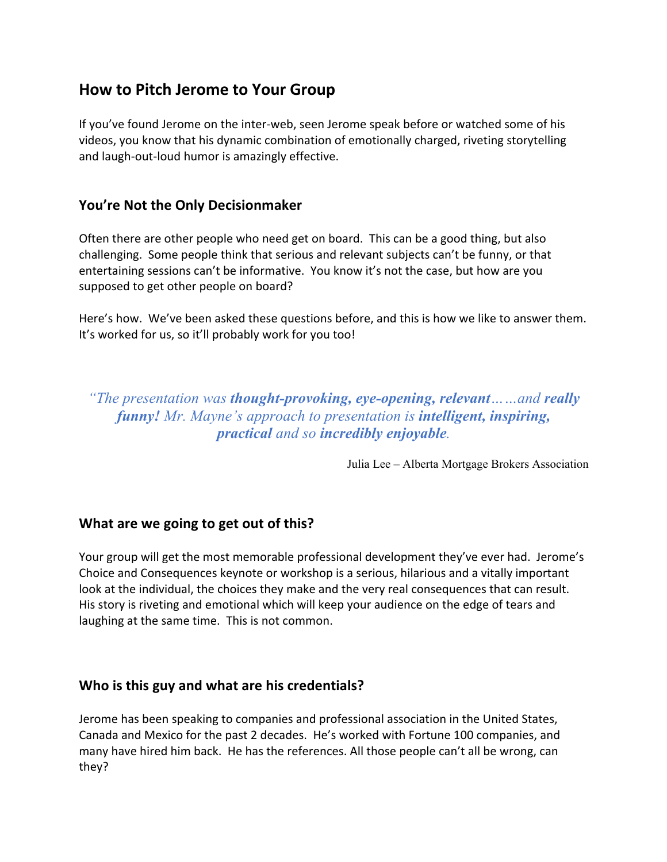# **How to Pitch Jerome to Your Group**

If you've found Jerome on the inter-web, seen Jerome speak before or watched some of his videos, you know that his dynamic combination of emotionally charged, riveting storytelling and laugh-out-loud humor is amazingly effective.

#### **You're Not the Only Decisionmaker**

Often there are other people who need get on board. This can be a good thing, but also challenging. Some people think that serious and relevant subjects can't be funny, or that entertaining sessions can't be informative. You know it's not the case, but how are you supposed to get other people on board?

Here's how. We've been asked these questions before, and this is how we like to answer them. It's worked for us, so it'll probably work for you too!

*"The presentation was thought-provoking, eye-opening, relevant……and really funny! Mr. Mayne's approach to presentation is intelligent, inspiring, practical and so incredibly enjoyable.*

Julia Lee – Alberta Mortgage Brokers Association

#### **What are we going to get out of this?**

Your group will get the most memorable professional development they've ever had. Jerome's Choice and Consequences keynote or workshop is a serious, hilarious and a vitally important look at the individual, the choices they make and the very real consequences that can result. His story is riveting and emotional which will keep your audience on the edge of tears and laughing at the same time. This is not common.

#### **Who is this guy and what are his credentials?**

Jerome has been speaking to companies and professional association in the United States, Canada and Mexico for the past 2 decades. He's worked with Fortune 100 companies, and many have hired him back. He has the references. All those people can't all be wrong, can they?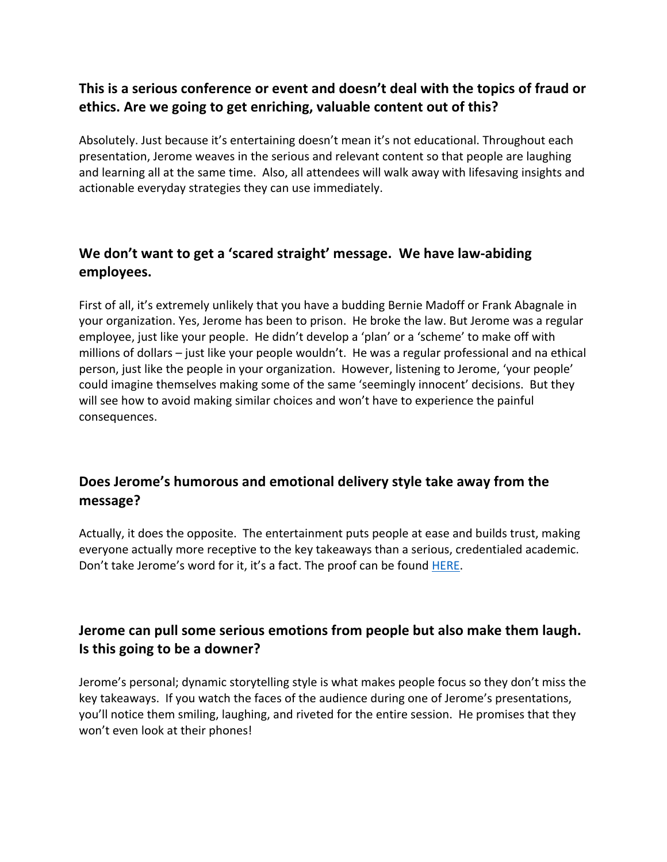## **This is a serious conference or event and doesn't deal with the topics of fraud or ethics. Are we going to get enriching, valuable content out of this?**

Absolutely. Just because it's entertaining doesn't mean it's not educational. Throughout each presentation, Jerome weaves in the serious and relevant content so that people are laughing and learning all at the same time. Also, all attendees will walk away with lifesaving insights and actionable everyday strategies they can use immediately.

## **We don't want to get a 'scared straight' message. We have law-abiding employees.**

First of all, it's extremely unlikely that you have a budding Bernie Madoff or Frank Abagnale in your organization. Yes, Jerome has been to prison. He broke the law. But Jerome was a regular employee, just like your people. He didn't develop a 'plan' or a 'scheme' to make off with millions of dollars – just like your people wouldn't. He was a regular professional and na ethical person, just like the people in your organization. However, listening to Jerome, 'your people' could imagine themselves making some of the same 'seemingly innocent' decisions. But they will see how to avoid making similar choices and won't have to experience the painful consequences.

### **Does Jerome's humorous and emotional delivery style take away from the message?**

Actually, it does the opposite. The entertainment puts people at ease and builds trust, making everyone actually more receptive to the key takeaways than a serious, credentialed academic. Don't take Jerome's word for it, it's a fact. The proof can be found HERE.

## **Jerome can pull some serious emotions from people but also make them laugh. Is this going to be a downer?**

Jerome's personal; dynamic storytelling style is what makes people focus so they don't miss the key takeaways. If you watch the faces of the audience during one of Jerome's presentations, you'll notice them smiling, laughing, and riveted for the entire session. He promises that they won't even look at their phones!